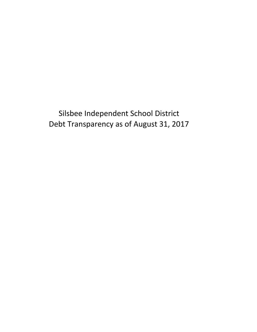Silsbee Independent School District Debt Transparency as of August 31, 2017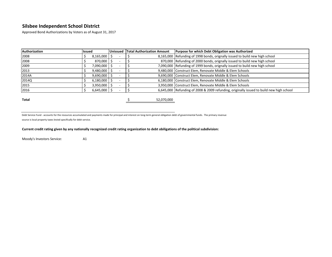Approved Bond Authorizations by Voters as of August 31, 2017

| Authorization | <b>Issued</b>    | <b>Unissued</b> | <b>Total Authorization Amount</b> | <b>Purpose for which Debt Obligation was Authorized</b>                                  |  |  |  |  |  |  |
|---------------|------------------|-----------------|-----------------------------------|------------------------------------------------------------------------------------------|--|--|--|--|--|--|
| 2008          | $8,165,000$   \$ |                 |                                   | 8,165,000 Refunding of 1998 bonds, orignally issued to build new high school             |  |  |  |  |  |  |
| 2008          | 870,000 \$       |                 |                                   | 870,000 Refunding of 2000 bonds, orignally issued to build new high school               |  |  |  |  |  |  |
| 2009          | 7,090,000 \$     |                 |                                   | 7,090,000 Refunding of 1999 bonds, orignally issued to build new high school             |  |  |  |  |  |  |
| 2013          | $9,480,000$   \$ |                 |                                   | 9,480,000 Construct Elem, Renovate Middle & Elem Schools                                 |  |  |  |  |  |  |
| 2014A         | $9,690,000$ \$   |                 |                                   | 9,690,000 Construct Elem, Renovate Middle & Elem Schools                                 |  |  |  |  |  |  |
| 2014Q         | $6,180,000$ \$   |                 |                                   | 6,180,000 Construct Elem, Renovate Middle & Elem Schools                                 |  |  |  |  |  |  |
| 2015          | $3,950,000$   \$ |                 |                                   | 3,950,000 Construct Elem, Renovate Middle & Elem Schools                                 |  |  |  |  |  |  |
| 2016          | $6,645,000$   \$ |                 |                                   | 6,645,000 Refunding of 2008 & 2009 refunding, originally issued to build new high school |  |  |  |  |  |  |
|               |                  |                 |                                   |                                                                                          |  |  |  |  |  |  |
| Total         |                  |                 | 52,070,000                        |                                                                                          |  |  |  |  |  |  |

Debt Service Fund - accounts for the resources accumulated and payments made for principal and interest on long-term general obligation debt of governmental funds. The primary revenue

source is local property taxes levied specifically for debt service.

#### **Current credit rating given by any nationally recognized credit rating organization to debt obiligations of the political subdivision:**

Moody's Investors Service: A1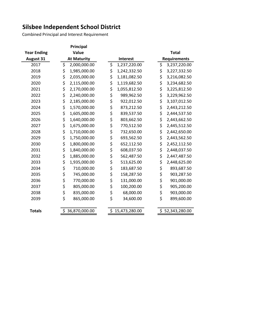Combined Principal and Interest Requirement

|                    | <b>Principal</b>    |    |                 |              |    |                     |  |  |
|--------------------|---------------------|----|-----------------|--------------|----|---------------------|--|--|
| <b>Year Ending</b> | Value               |    |                 | <b>Total</b> |    |                     |  |  |
| <b>August 31</b>   | <b>At Maturity</b>  |    | <b>Interest</b> |              |    | <b>Requirements</b> |  |  |
| 2017               | \$<br>2,000,000.00  | \$ | 1,237,220.00    |              | \$ | 3,237,220.00        |  |  |
| 2018               | \$<br>1,985,000.00  | \$ | 1,242,332.50    |              | \$ | 3,227,332.50        |  |  |
| 2019               | \$<br>2,035,000.00  | \$ | 1,181,082.50    |              | \$ | 3,216,082.50        |  |  |
| 2020               | \$<br>2,115,000.00  | \$ | 1,119,682.50    |              | \$ | 3,234,682.50        |  |  |
| 2021               | \$<br>2,170,000.00  | \$ | 1,055,812.50    |              | \$ | 3,225,812.50        |  |  |
| 2022               | \$<br>2,240,000.00  | \$ | 989,962.50      |              | \$ | 3,229,962.50        |  |  |
| 2023               | \$<br>2,185,000.00  | \$ | 922,012.50      |              | \$ | 3,107,012.50        |  |  |
| 2024               | \$<br>1,570,000.00  | \$ | 873,212.50      |              | \$ | 2,443,212.50        |  |  |
| 2025               | \$<br>1,605,000.00  | \$ | 839,537.50      |              | \$ | 2,444,537.50        |  |  |
| 2026               | \$<br>1,640,000.00  | \$ | 803,662.50      |              | \$ | 2,443,662.50        |  |  |
| 2027               | \$<br>1,675,000.00  | \$ | 770,512.50      |              | \$ | 2,445,512.50        |  |  |
| 2028               | \$<br>1,710,000.00  | \$ | 732,650.00      |              | \$ | 2,442,650.00        |  |  |
| 2029               | \$<br>1,750,000.00  | \$ | 693,562.50      |              | \$ | 2,443,562.50        |  |  |
| 2030               | \$<br>1,800,000.00  | \$ | 652,112.50      |              | \$ | 2,452,112.50        |  |  |
| 2031               | \$<br>1,840,000.00  | \$ | 608,037.50      |              | \$ | 2,448,037.50        |  |  |
| 2032               | \$<br>1,885,000.00  | \$ | 562,487.50      |              | \$ | 2,447,487.50        |  |  |
| 2033               | \$<br>1,935,000.00  | \$ | 513,625.00      |              | \$ | 2,448,625.00        |  |  |
| 2034               | \$<br>710,000.00    | \$ | 183,687.50      |              | \$ | 893,687.50          |  |  |
| 2035               | \$<br>745,000.00    | \$ | 158,287.50      |              | \$ | 903,287.50          |  |  |
| 2036               | \$<br>770,000.00    | \$ | 131,000.00      |              | \$ | 901,000.00          |  |  |
| 2037               | \$<br>805,000.00    | \$ | 100,200.00      |              | \$ | 905,200.00          |  |  |
| 2038               | \$<br>835,000.00    | \$ | 68,000.00       |              | \$ | 903,000.00          |  |  |
| 2039               | \$<br>865,000.00    | \$ | 34,600.00       |              | \$ | 899,600.00          |  |  |
| <b>Totals</b>      | \$<br>36,870,000.00 |    | \$15,473,280.00 |              |    | \$52,343,280.00     |  |  |
|                    |                     |    |                 |              |    |                     |  |  |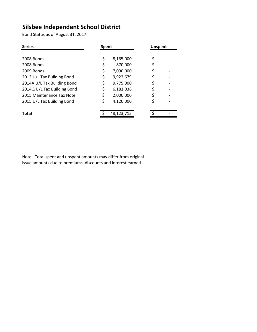Bond Status as of August 31, 2017

| <b>Series</b>               | <b>Spent</b> |            | <b>Unspent</b> |  |  |  |
|-----------------------------|--------------|------------|----------------|--|--|--|
|                             |              |            |                |  |  |  |
| 2008 Bonds                  | \$           | 8,165,000  | \$             |  |  |  |
| 2008 Bonds                  |              | 870,000    | \$             |  |  |  |
| 2009 Bonds                  |              | 7,090,000  |                |  |  |  |
| 2013 U/L Tax Building Bond  |              | 9,922,679  |                |  |  |  |
| 2014A U/L Tax Building Bond |              | 9,775,000  |                |  |  |  |
| 2014Q U/L Tax Building Bond |              | 6,181,036  |                |  |  |  |
| 2015 Maintenance Tax Note   |              | 2,000,000  |                |  |  |  |
| 2015 U/L Tax Building Bond  |              | 4,120,000  |                |  |  |  |
| <b>Total</b>                |              | 48,123,715 |                |  |  |  |

Note: Total spent and unspent amounts may differ from original issue amounts due to premiums, discounts and interest earned